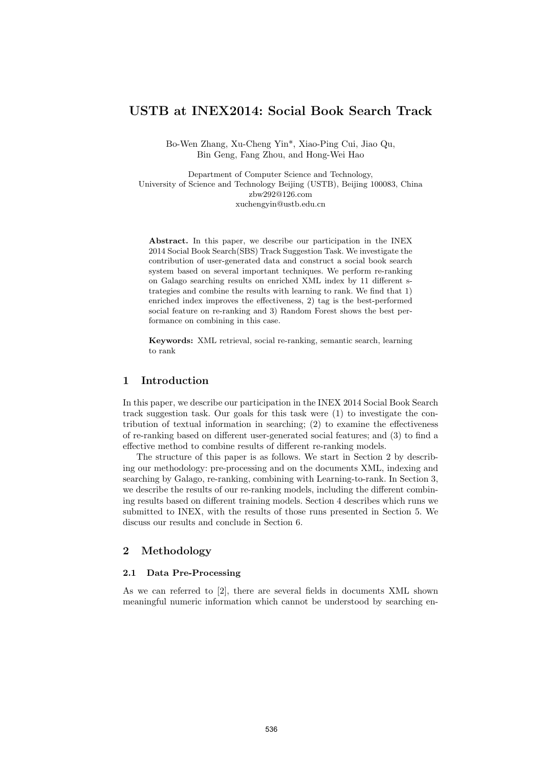# USTB at INEX2014: Social Book Search Track

Bo-Wen Zhang, Xu-Cheng Yin\*, Xiao-Ping Cui, Jiao Qu, Bin Geng, Fang Zhou, and Hong-Wei Hao

Department of Computer Science and Technology, University of Science and Technology Beijing (USTB), Beijing 100083, China zbw292@126.com xuchengyin@ustb.edu.cn

Abstract. In this paper, we describe our participation in the INEX 2014 Social Book Search(SBS) Track Suggestion Task. We investigate the contribution of user-generated data and construct a social book search system based on several important techniques. We perform re-ranking on Galago searching results on enriched XML index by 11 different strategies and combine the results with learning to rank. We find that 1) enriched index improves the effectiveness, 2) tag is the best-performed social feature on re-ranking and 3) Random Forest shows the best performance on combining in this case.

Keywords: XML retrieval, social re-ranking, semantic search, learning to rank

### 1 Introduction

In this paper, we describe our participation in the INEX 2014 Social Book Search track suggestion task. Our goals for this task were (1) to investigate the contribution of textual information in searching; (2) to examine the effectiveness of re-ranking based on different user-generated social features; and (3) to find a effective method to combine results of different re-ranking models.

The structure of this paper is as follows. We start in Section 2 by describing our methodology: pre-processing and on the documents XML, indexing and searching by Galago, re-ranking, combining with Learning-to-rank. In Section 3, we describe the results of our re-ranking models, including the different combining results based on different training models. Section 4 describes which runs we submitted to INEX, with the results of those runs presented in Section 5. We discuss our results and conclude in Section 6.

#### 2 Methodology

#### 2.1 Data Pre-Processing

As we can referred to [2], there are several fields in documents XML shown meaningful numeric information which cannot be understood by searching en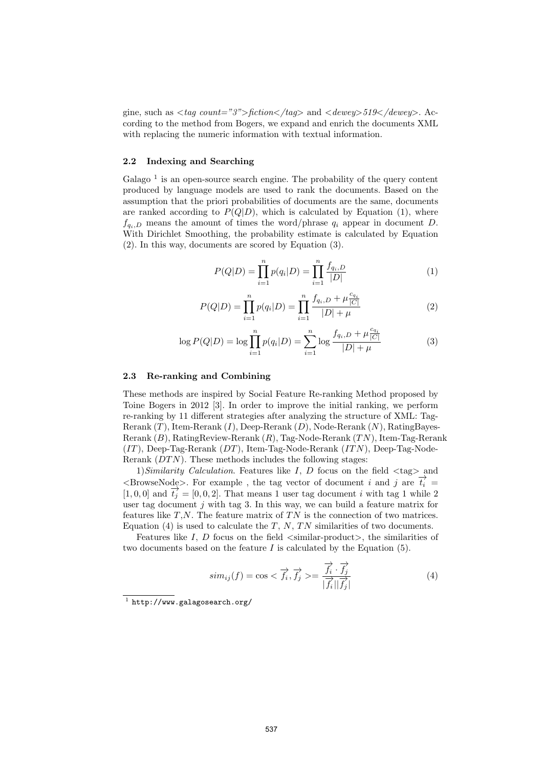gine, such as  $\langle tag\ count="3"\rangle$ fiction $\langle tag \rangle$  and  $\langle dewey \rangle$ 519 $\langle /dewey \rangle$ . According to the method from Bogers, we expand and enrich the documents XML with replacing the numeric information with textual information.

## 2.2 Indexing and Searching

Galago<sup> $1$ </sup> is an open-source search engine. The probability of the query content produced by language models are used to rank the documents. Based on the assumption that the priori probabilities of documents are the same, documents are ranked according to  $P(Q|D)$ , which is calculated by Equation (1), where  $f_{q_i,D}$  means the amount of times the word/phrase  $q_i$  appear in document D. With Dirichlet Smoothing, the probability estimate is calculated by Equation (2). In this way, documents are scored by Equation (3).

$$
P(Q|D) = \prod_{i=1}^{n} p(q_i|D) = \prod_{i=1}^{n} \frac{f_{q_i,D}}{|D|}
$$
 (1)

$$
P(Q|D) = \prod_{i=1}^{n} p(q_i|D) = \prod_{i=1}^{n} \frac{f_{q_i, D} + \mu \frac{c_{q_i}}{|C|}}{|D| + \mu}
$$
 (2)

$$
\log P(Q|D) = \log \prod_{i=1}^{n} p(q_i|D) = \sum_{i=1}^{n} \log \frac{f_{q_i, D} + \mu_{|\overline{C}|}^{c_{q_i}}}{|D| + \mu}
$$
(3)

#### 2.3 Re-ranking and Combining

These methods are inspired by Social Feature Re-ranking Method proposed by Toine Bogers in 2012 [3]. In order to improve the initial ranking, we perform re-ranking by 11 different strategies after analyzing the structure of XML: Tag-Rerank  $(T)$ , Item-Rerank  $(I)$ , Deep-Rerank  $(D)$ , Node-Rerank  $(N)$ , RatingBayes-Rerank  $(B)$ , RatingReview-Rerank  $(R)$ , Tag-Node-Rerank  $(TN)$ , Item-Tag-Rerank  $(IT)$ , Deep-Tag-Rerank  $(DT)$ , Item-Tag-Node-Rerank  $(TTN)$ , Deep-Tag-Node-Rerank  $(DTN)$ . These methods includes the following stages:

1) Similarity Calculation. Features like I, D focus on the field  $\langle \text{tag}\rangle$  and  $\langle$ BrowseNode $\rangle$ . For example, the tag vector of document *i* and *j* are  $\vec{t}_i$  = [1, 0, 0] and  $\overrightarrow{t_i} = [0, 0, 2]$ . That means 1 user tag document i with tag 1 while 2 user tag document  $j$  with tag 3. In this way, we can build a feature matrix for features like  $T$ , $N$ . The feature matrix of  $TN$  is the connection of two matrices. Equation (4) is used to calculate the  $T$ , N, TN similarities of two documents.

Features like  $I, D$  focus on the field  $\langle$ similar-product $\rangle$ , the similarities of two documents based on the feature  $I$  is calculated by the Equation  $(5)$ .

$$
sim_{ij}(f) = \cos < \overrightarrow{f_i}, \overrightarrow{f_j} > = \frac{\overrightarrow{f_i} \cdot \overrightarrow{f_j}}{|\overrightarrow{f_i}||\overrightarrow{f_j}|} \tag{4}
$$

 $^1$  http://www.galagosearch.org/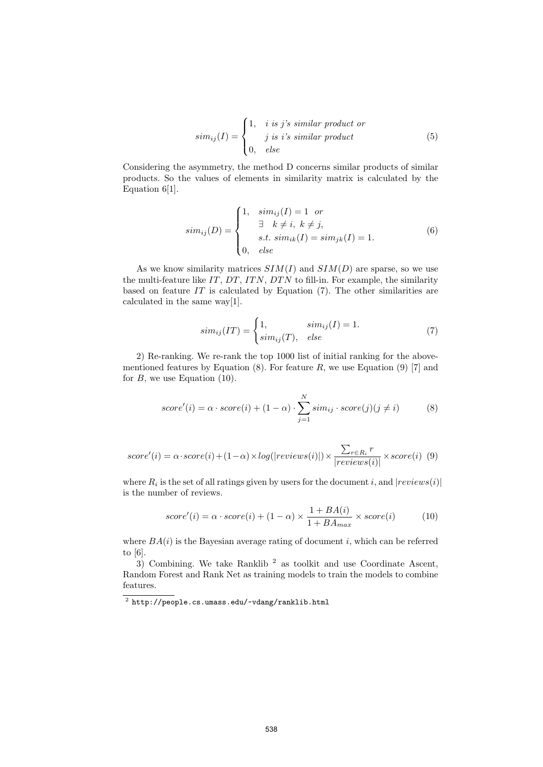$$
sim_{ij}(I) = \begin{cases} 1, & i \text{ is } j's \text{ similar product or} \\ & j \text{ is } i's \text{ similar product} \\ 0, & else \end{cases}
$$
(5)

Considering the asymmetry, the method D concerns similar products of similar products. So the values of elements in similarity matrix is calculated by the Equation 6[1].

$$
sim_{ij}(D) = \begin{cases} 1, & sim_{ij}(I) = 1 \text{ or} \\ & \exists k \neq i, k \neq j, \\ & s.t. \ sim_{ik}(I) = sim_{jk}(I) = 1. \\ 0, & else \end{cases}
$$
(6)

As we know similarity matrices  $SIM(I)$  and  $SIM(D)$  are sparse, so we use the multi-feature like  $IT, DT, ITN, DTN$  to fill-in. For example, the similarity based on feature  $IT$  is calculated by Equation  $(7)$ . The other similarities are calculated in the same way[1].

$$
sim_{ij}(IT) = \begin{cases} 1, & sim_{ij}(I) = 1. \\ sim_{ij}(T), & else \end{cases}
$$
(7)

2) Re-ranking. We re-rank the top 1000 list of initial ranking for the abovementioned features by Equation  $(8)$ . For feature R, we use Equation  $(9)$  [7] and for  $B$ , we use Equation (10).

$$
score'(i) = \alpha \cdot score(i) + (1 - \alpha) \cdot \sum_{j=1}^{N} sim_{ij} \cdot score(j)(j \neq i)
$$
 (8)

$$
score'(i) = \alpha \cdot score(i) + (1 - \alpha) \times log(|reviews(i)|) \times \frac{\sum_{r \in R_i} r}{|reviews(i)|} \times score(i) \tag{9}
$$

where  $R_i$  is the set of all ratings given by users for the document i, and  $|reviews(i)|$ is the number of reviews.

$$
score'(i) = \alpha \cdot score(i) + (1 - \alpha) \times \frac{1 + BA(i)}{1 + BA_{max}} \times score(i)
$$
 (10)

where  $BA(i)$  is the Bayesian average rating of document i, which can be referred to [6].

 $3)$  Combining. We take Ranklib<sup>2</sup> as toolkit and use Coordinate Ascent, Random Forest and Rank Net as training models to train the models to combine features.

 $^2$  http://people.cs.umass.edu/~vdang/ranklib.html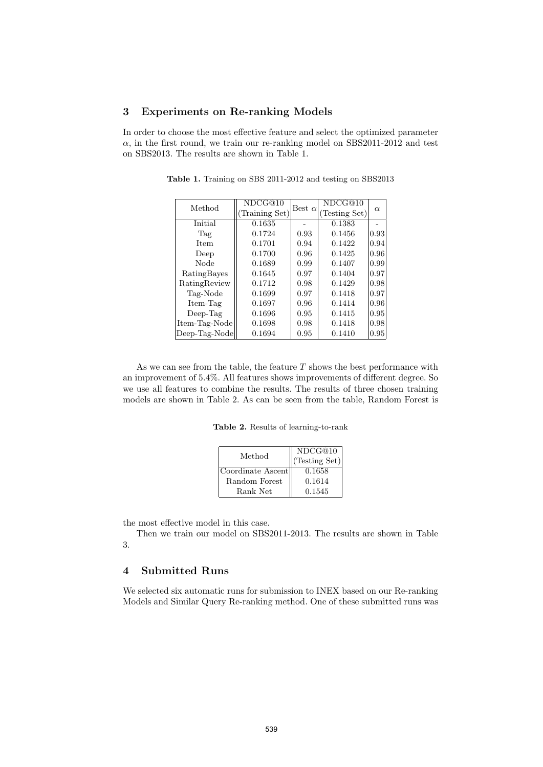### 3 Experiments on Re-ranking Models

In order to choose the most effective feature and select the optimized parameter  $\alpha$ , in the first round, we train our re-ranking model on SBS2011-2012 and test on SBS2013. The results are shown in Table 1.

| Method        | NDCG@10        | Best $\alpha$ | NDCG@10       |          |  |
|---------------|----------------|---------------|---------------|----------|--|
|               | (Training Set) |               | (Testing Set) | $\alpha$ |  |
| Initial       | 0.1635         |               | 0.1383        |          |  |
| Tag           | 0.1724         | 0.93          | 0.1456        | 0.93     |  |
| <b>Item</b>   | 0.1701         | 0.94          | 0.1422        | 0.94     |  |
| Deep          | 0.1700         | 0.96          | 0.1425        | 0.96     |  |
| Node          | 0.1689         | 0.99          | 0.1407        | 0.99     |  |
| RatingBayes   | 0.1645         | 0.97          | 0.1404        | 0.97     |  |
| RatingReview  | 0.1712         | 0.98          | 0.1429        | 0.98     |  |
| Tag-Node      | 0.1699         | 0.97          | 0.1418        | 0.97     |  |
| Item-Tag      | 0.1697         | 0.96          | 0.1414        | 0.96     |  |
| $Deep-Tag$    | 0.1696         | 0.95          | 0.1415        | 0.95     |  |
| Item-Tag-Node | 0.1698         | 0.98          | 0.1418        | 0.98     |  |
| Deep-Tag-Node | 0.1694         | 0.95          | 0.1410        | 0.95     |  |

Table 1. Training on SBS 2011-2012 and testing on SBS2013

As we can see from the table, the feature  $T$  shows the best performance with an improvement of 5.4%. All features shows improvements of different degree. So we use all features to combine the results. The results of three chosen training models are shown in Table 2. As can be seen from the table, Random Forest is

Table 2. Results of learning-to-rank

| Method            | NDCG@10<br>(Testing Set) |  |  |
|-------------------|--------------------------|--|--|
| Coordinate Ascent | 0.1658                   |  |  |
| Random Forest     | 0.1614                   |  |  |
| Rank Net          | 0.1545                   |  |  |

the most effective model in this case.

Then we train our model on SBS2011-2013. The results are shown in Table 3.

# 4 Submitted Runs

We selected six automatic runs for submission to INEX based on our Re-ranking Models and Similar Query Re-ranking method. One of these submitted runs was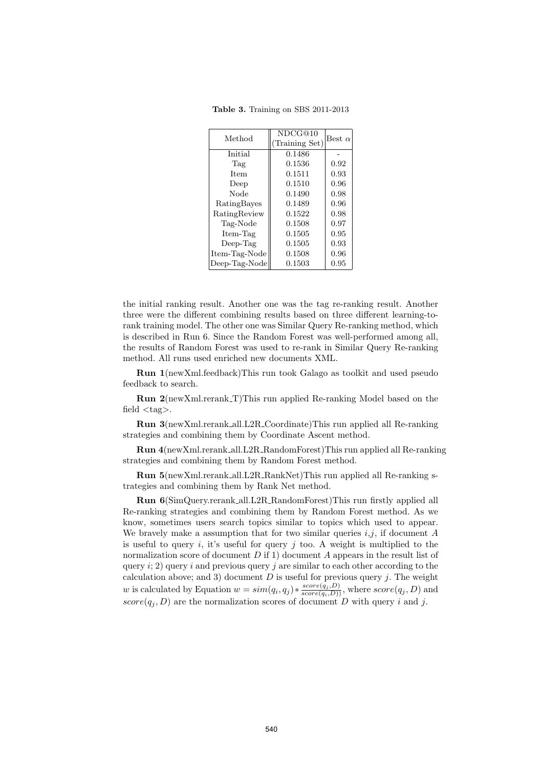Table 3. Training on SBS 2011-2013

| Method        | NDCG@10<br>(Training Set) | Best $\alpha$ |
|---------------|---------------------------|---------------|
| Initial       | 0.1486                    |               |
| Tag           | 0.1536                    | 0.92          |
| <b>Item</b>   | 0.1511                    | 0.93          |
| Deep          | 0.1510                    | 0.96          |
| Node          | 0.1490                    | 0.98          |
| RatingBayes   | 0.1489                    | 0.96          |
| RatingReview  | 0.1522                    | 0.98          |
| Tag-Node      | 0.1508                    | 0.97          |
| Item-Tag      | 0.1505                    | 0.95          |
| $Deep-Tag$    | 0.1505                    | 0.93          |
| Item-Tag-Node | 0.1508                    | 0.96          |
| Deep-Tag-Node | 0.1503                    | 0.95          |

the initial ranking result. Another one was the tag re-ranking result. Another three were the different combining results based on three different learning-torank training model. The other one was Similar Query Re-ranking method, which is described in Run 6. Since the Random Forest was well-performed among all, the results of Random Forest was used to re-rank in Similar Query Re-ranking method. All runs used enriched new documents XML.

Run 1(newXml.feedback)This run took Galago as toolkit and used pseudo feedback to search.

Run 2(newXml.rerank T)This run applied Re-ranking Model based on the field  $\langle tag \rangle$ .

Run 3(newXml.rerank all.L2R Coordinate)This run applied all Re-ranking strategies and combining them by Coordinate Ascent method.

Run 4(newXml.rerank all.L2R RandomForest)This run applied all Re-ranking strategies and combining them by Random Forest method.

Run 5(newXml.rerank all.L2R RankNet)This run applied all Re-ranking strategies and combining them by Rank Net method.

Run 6(SimQuery.rerank all.L2R RandomForest)This run firstly applied all Re-ranking strategies and combining them by Random Forest method. As we know, sometimes users search topics similar to topics which used to appear. We bravely make a assumption that for two similar queries  $i,j$ , if document  $A$ is useful to query i, it's useful for query j too. A weight is multiplied to the normalization score of document  $D$  if 1) document  $A$  appears in the result list of query i; 2) query i and previous query j are similar to each other according to the calculation above; and 3) document  $D$  is useful for previous query j. The weight w is calculated by Equation  $w = sim(q_i, q_j) * \frac{score(q_j, D)}{score(q_i, D)})$ , where  $score(q_j, D)$  and  $score(q_j, D)$  are the normalization scores of document D with query i and j.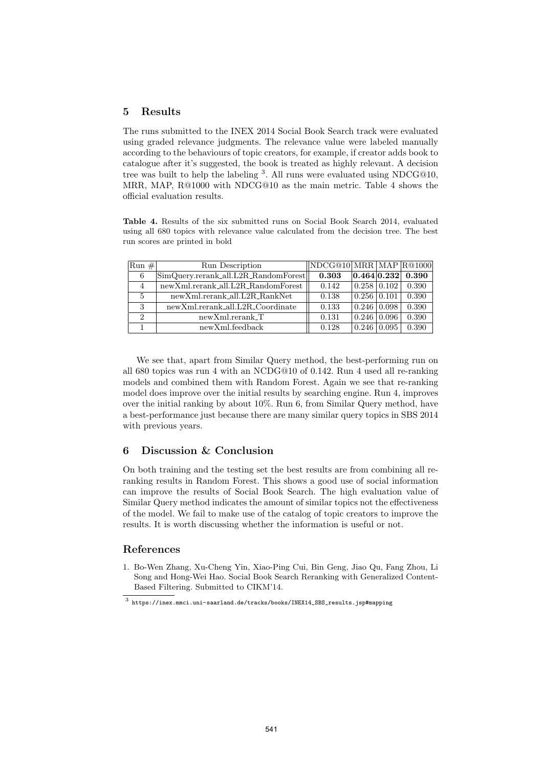## 5 Results

The runs submitted to the INEX 2014 Social Book Search track were evaluated using graded relevance judgments. The relevance value were labeled manually according to the behaviours of topic creators, for example, if creator adds book to catalogue after it's suggested, the book is treated as highly relevant. A decision tree was built to help the labeling <sup>3</sup>. All runs were evaluated using NDCG@10, MRR, MAP, R@1000 with NDCG@10 as the main metric. Table 4 shows the official evaluation results.

Table 4. Results of the six submitted runs on Social Book Search 2014, evaluated using all 680 topics with relevance value calculated from the decision tree. The best run scores are printed in bold

| $Run \#$       | Run Description                                      | NDCG@10  MRR   MAP  R@1000 |                         |                              |                       |
|----------------|------------------------------------------------------|----------------------------|-------------------------|------------------------------|-----------------------|
| 6              | $ \text{SimQuery}$ .rerank_all.L2R_RandomForest $  $ | 0.303                      |                         |                              | $ 0.464 0.232 $ 0.390 |
| 4              | newXml.rerank_all.L2R_RandomForest                   | 0.142                      | $0.258$ 0.102           |                              | 0.390                 |
| $\overline{5}$ | $newXml.rerank\_all.L2R\_RankNet$                    | 0.138                      | $\mid 0.256 \mid 0.101$ |                              | 0.390                 |
| 3              | newXml.rerank_all.L2R_Coordinate                     | 0.133                      |                         | $\mid 0.246 \mid 0.098 \mid$ | 0.390                 |
| $\mathcal{D}$  | $newXml.rerank_T$                                    | 0.131                      |                         | $\mid 0.246 \mid 0.096 \mid$ | 0.390                 |
|                | newXml.feedback                                      | 0.128                      | $0.246$   $0.095$       |                              | 0.390                 |

We see that, apart from Similar Query method, the best-performing run on all 680 topics was run 4 with an NCDG@10 of 0.142. Run 4 used all re-ranking models and combined them with Random Forest. Again we see that re-ranking model does improve over the initial results by searching engine. Run 4, improves over the initial ranking by about 10%. Run 6, from Similar Query method, have a best-performance just because there are many similar query topics in SBS 2014 with previous years.

# 6 Discussion & Conclusion

On both training and the testing set the best results are from combining all reranking results in Random Forest. This shows a good use of social information can improve the results of Social Book Search. The high evaluation value of Similar Query method indicates the amount of similar topics not the effectiveness of the model. We fail to make use of the catalog of topic creators to improve the results. It is worth discussing whether the information is useful or not.

### References

1. Bo-Wen Zhang, Xu-Cheng Yin, Xiao-Ping Cui, Bin Geng, Jiao Qu, Fang Zhou, Li Song and Hong-Wei Hao. Social Book Search Reranking with Generalized Content-Based Filtering. Submitted to CIKM'14.

 $^3$  https://inex.mmci.uni-saarland.de/tracks/books/INEX14\_SBS\_results.jsp#mapping